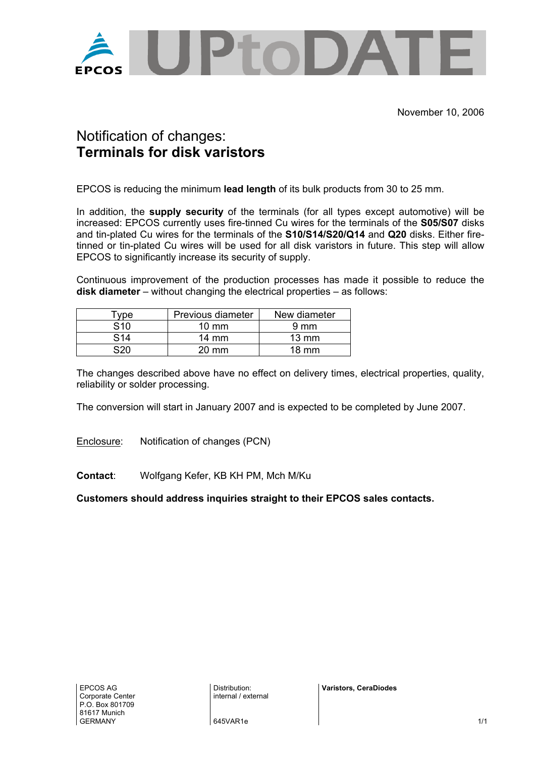

## Notification of changes: **Terminals for disk varistors**

EPCOS is reducing the minimum **lead length** of its bulk products from 30 to 25 mm.

In addition, the **supply security** of the terminals (for all types except automotive) will be increased: EPCOS currently uses fire-tinned Cu wires for the terminals of the **S05/S07** disks and tin-plated Cu wires for the terminals of the **S10/S14/S20/Q14** and **Q20** disks. Either firetinned or tin-plated Cu wires will be used for all disk varistors in future. This step will allow EPCOS to significantly increase its security of supply.

Continuous improvement of the production processes has made it possible to reduce the **disk diameter** – without changing the electrical properties – as follows:

| vpe | Previous diameter | New diameter    |  |
|-----|-------------------|-----------------|--|
| S10 | $10 \text{ mm}$   | $9 \text{ mm}$  |  |
| S14 | $14 \text{ mm}$   | $13 \text{ mm}$ |  |
| cor | $20 \text{ mm}$   | 18 mm           |  |

The changes described above have no effect on delivery times, electrical properties, quality, reliability or solder processing.

The conversion will start in January 2007 and is expected to be completed by June 2007.

Enclosure: Notification of changes (PCN)

**Contact**: Wolfgang Kefer, KB KH PM, Mch M/Ku

**Customers should address inquiries straight to their EPCOS sales contacts.**

Distribution: internal / external **Varistors, CeraDiodes**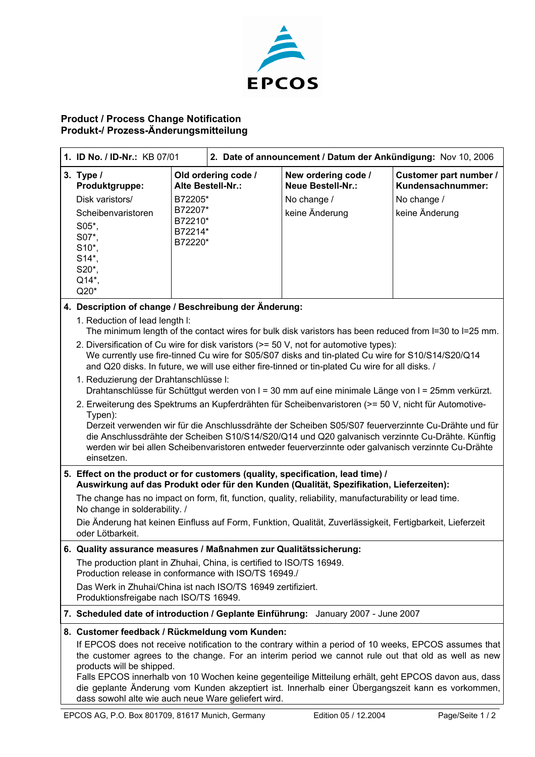

## **Product / Process Change Notification Produkt-/ Prozess-Änderungsmitteilung**

| 1. ID No. / ID-Nr.: KB 07/01                                                                                                                                                                                                                                                                                                                                                                                                                    |                                                                                                                                                          | 2. Date of announcement / Datum der Ankündigung: Nov 10, 2006 |                                                                                   |                                                                              |  |
|-------------------------------------------------------------------------------------------------------------------------------------------------------------------------------------------------------------------------------------------------------------------------------------------------------------------------------------------------------------------------------------------------------------------------------------------------|----------------------------------------------------------------------------------------------------------------------------------------------------------|---------------------------------------------------------------|-----------------------------------------------------------------------------------|------------------------------------------------------------------------------|--|
| 3. Type /<br>Produktgruppe:<br>Disk varistors/<br>Scheibenvaristoren<br>S05*,<br>S07*,<br>S10*,<br>S14*,<br>S20*,<br>$Q14*$<br>Q20*                                                                                                                                                                                                                                                                                                             | Alte Bestell-Nr.:<br>B72205*<br>B72207*<br>B72210*<br>B72214*<br>B72220*                                                                                 | Old ordering code /                                           | New ordering code /<br><b>Neue Bestell-Nr.:</b><br>No change /<br>keine Änderung  | Customer part number /<br>Kundensachnummer:<br>No change /<br>keine Änderung |  |
| 4. Description of change / Beschreibung der Änderung:                                                                                                                                                                                                                                                                                                                                                                                           |                                                                                                                                                          |                                                               |                                                                                   |                                                                              |  |
| 1. Reduction of lead length I:<br>The minimum length of the contact wires for bulk disk varistors has been reduced from I=30 to I=25 mm.<br>2. Diversification of Cu wire for disk varistors (>= 50 V, not for automotive types):<br>We currently use fire-tinned Cu wire for S05/S07 disks and tin-plated Cu wire for S10/S14/S20/Q14<br>and Q20 disks. In future, we will use either fire-tinned or tin-plated Cu wire for all disks. /       |                                                                                                                                                          |                                                               |                                                                                   |                                                                              |  |
| 1. Reduzierung der Drahtanschlüsse I:<br>Drahtanschlüsse für Schüttgut werden von I = 30 mm auf eine minimale Länge von I = 25mm verkürzt.                                                                                                                                                                                                                                                                                                      |                                                                                                                                                          |                                                               |                                                                                   |                                                                              |  |
| 2. Erweiterung des Spektrums an Kupferdrähten für Scheibenvaristoren (>= 50 V, nicht für Automotive-<br>Typen):<br>Derzeit verwenden wir für die Anschlussdrähte der Scheiben S05/S07 feuerverzinnte Cu-Drähte und für<br>die Anschlussdrähte der Scheiben S10/S14/S20/Q14 und Q20 galvanisch verzinnte Cu-Drähte. Künftig<br>werden wir bei allen Scheibenvaristoren entweder feuerverzinnte oder galvanisch verzinnte Cu-Drähte<br>einsetzen. |                                                                                                                                                          |                                                               |                                                                                   |                                                                              |  |
| 5. Effect on the product or for customers (quality, specification, lead time) /<br>Auswirkung auf das Produkt oder für den Kunden (Qualität, Spezifikation, Lieferzeiten):                                                                                                                                                                                                                                                                      |                                                                                                                                                          |                                                               |                                                                                   |                                                                              |  |
| The change has no impact on form, fit, function, quality, reliability, manufacturability or lead time.<br>No change in solderability. /                                                                                                                                                                                                                                                                                                         |                                                                                                                                                          |                                                               |                                                                                   |                                                                              |  |
| Die Änderung hat keinen Einfluss auf Form, Funktion, Qualität, Zuverlässigkeit, Fertigbarkeit, Lieferzeit<br>oder Lötbarkeit.                                                                                                                                                                                                                                                                                                                   |                                                                                                                                                          |                                                               |                                                                                   |                                                                              |  |
| 6. Quality assurance measures / Maßnahmen zur Qualitätssicherung:                                                                                                                                                                                                                                                                                                                                                                               |                                                                                                                                                          |                                                               |                                                                                   |                                                                              |  |
| The production plant in Zhuhai, China, is certified to ISO/TS 16949.<br>Production release in conformance with ISO/TS 16949./                                                                                                                                                                                                                                                                                                                   |                                                                                                                                                          |                                                               |                                                                                   |                                                                              |  |
| Das Werk in Zhuhai/China ist nach ISO/TS 16949 zertifiziert.<br>Produktionsfreigabe nach ISO/TS 16949.                                                                                                                                                                                                                                                                                                                                          |                                                                                                                                                          |                                                               |                                                                                   |                                                                              |  |
|                                                                                                                                                                                                                                                                                                                                                                                                                                                 |                                                                                                                                                          |                                                               | 7. Scheduled date of introduction / Geplante Einführung: January 2007 - June 2007 |                                                                              |  |
| 8. Customer feedback / Rückmeldung vom Kunden:<br>If EPCOS does not receive notification to the contrary within a period of 10 weeks, EPCOS assumes that<br>the customer agrees to the change. For an interim period we cannot rule out that old as well as new<br>products will be shipped.<br>Falls EPCOS innerhalb von 10 Wochen keine gegenteilige Mitteilung erhält, geht EPCOS davon aus, dass                                            |                                                                                                                                                          |                                                               |                                                                                   |                                                                              |  |
|                                                                                                                                                                                                                                                                                                                                                                                                                                                 | die geplante Änderung vom Kunden akzeptiert ist. Innerhalb einer Übergangszeit kann es vorkommen,<br>dass sowohl alte wie auch neue Ware geliefert wird. |                                                               |                                                                                   |                                                                              |  |